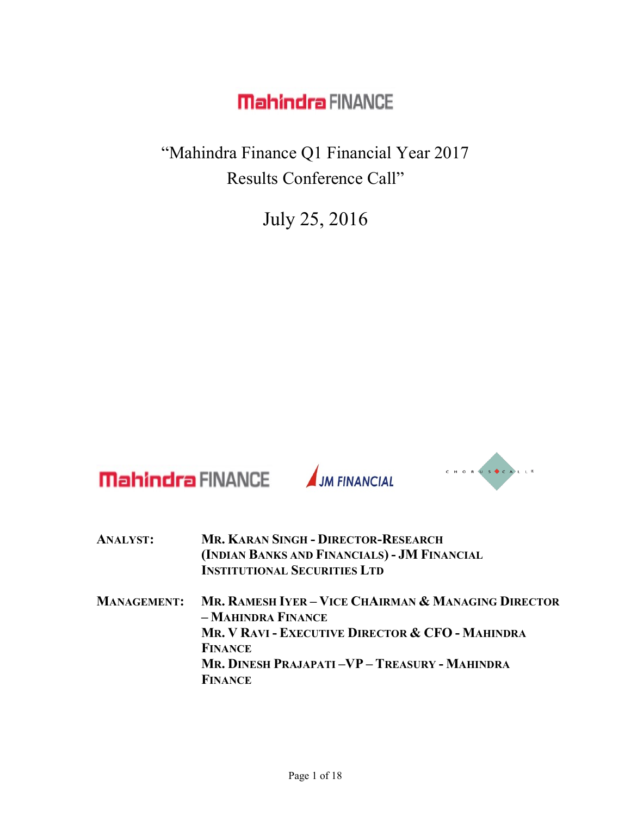"Mahindra Finance Q1 Financial Year 2017 Results Conference Call"

July 25, 2016



| <b>ANALYST:</b>    | <b>MR. KARAN SINGH - DIRECTOR-RESEARCH</b><br>(INDIAN BANKS AND FINANCIALS) - JM FINANCIAL<br><b>INSTITUTIONAL SECURITIES LTD</b> |
|--------------------|-----------------------------------------------------------------------------------------------------------------------------------|
| <b>MANAGEMENT:</b> | MR. RAMESH IYER – VICE CHAIRMAN & MANAGING DIRECTOR<br>- MAHINDRA FINANCE                                                         |
|                    | MR. V RAVI - EXECUTIVE DIRECTOR & CFO - MAHINDRA                                                                                  |
|                    | <b>FINANCE</b>                                                                                                                    |
|                    | MR. DINESH PRAJAPATI -VP - TREASURY - MAHINDRA                                                                                    |
|                    | <b>FINANCE</b>                                                                                                                    |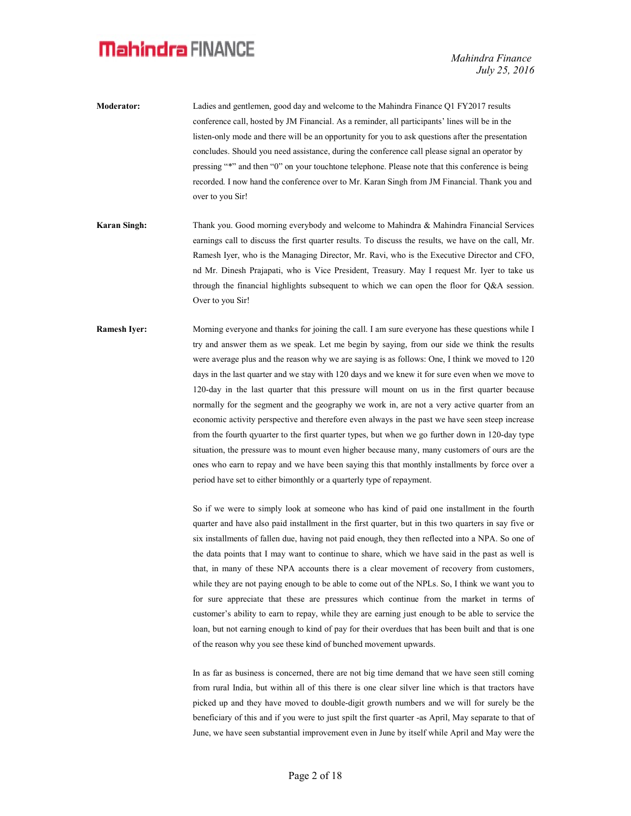Mahindra Finance July 25, 2016

- Moderator: Ladies and gentlemen, good day and welcome to the Mahindra Finance Q1 FY2017 results conference call, hosted by JM Financial. As a reminder, all participants' lines will be in the listen-only mode and there will be an opportunity for you to ask questions after the presentation concludes. Should you need assistance, during the conference call please signal an operator by pressing "\*" and then "0" on your touchtone telephone. Please note that this conference is being recorded. I now hand the conference over to Mr. Karan Singh from JM Financial. Thank you and over to you Sir!
- Karan Singh: Thank you. Good morning everybody and welcome to Mahindra & Mahindra Financial Services earnings call to discuss the first quarter results. To discuss the results, we have on the call, Mr. Ramesh Iyer, who is the Managing Director, Mr. Ravi, who is the Executive Director and CFO, nd Mr. Dinesh Prajapati, who is Vice President, Treasury. May I request Mr. Iyer to take us through the financial highlights subsequent to which we can open the floor for Q&A session. Over to you Sir!
- Ramesh Iyer: Morning everyone and thanks for joining the call. I am sure everyone has these questions while I try and answer them as we speak. Let me begin by saying, from our side we think the results were average plus and the reason why we are saying is as follows: One, I think we moved to 120 days in the last quarter and we stay with 120 days and we knew it for sure even when we move to 120-day in the last quarter that this pressure will mount on us in the first quarter because normally for the segment and the geography we work in, are not a very active quarter from an economic activity perspective and therefore even always in the past we have seen steep increase from the fourth qyuarter to the first quarter types, but when we go further down in 120-day type situation, the pressure was to mount even higher because many, many customers of ours are the ones who earn to repay and we have been saying this that monthly installments by force over a period have set to either bimonthly or a quarterly type of repayment.

So if we were to simply look at someone who has kind of paid one installment in the fourth quarter and have also paid installment in the first quarter, but in this two quarters in say five or six installments of fallen due, having not paid enough, they then reflected into a NPA. So one of the data points that I may want to continue to share, which we have said in the past as well is that, in many of these NPA accounts there is a clear movement of recovery from customers, while they are not paying enough to be able to come out of the NPLs. So, I think we want you to for sure appreciate that these are pressures which continue from the market in terms of customer's ability to earn to repay, while they are earning just enough to be able to service the loan, but not earning enough to kind of pay for their overdues that has been built and that is one of the reason why you see these kind of bunched movement upwards.

 In as far as business is concerned, there are not big time demand that we have seen still coming from rural India, but within all of this there is one clear silver line which is that tractors have picked up and they have moved to double-digit growth numbers and we will for surely be the beneficiary of this and if you were to just spilt the first quarter -as April, May separate to that of June, we have seen substantial improvement even in June by itself while April and May were the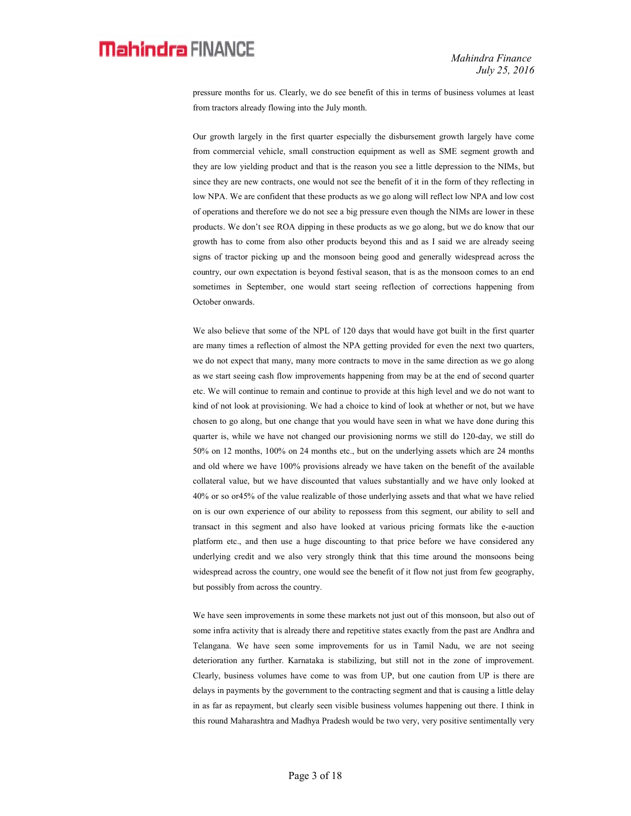pressure months for us. Clearly, we do see benefit of this in terms of business volumes at least from tractors already flowing into the July month.

 Our growth largely in the first quarter especially the disbursement growth largely have come from commercial vehicle, small construction equipment as well as SME segment growth and they are low yielding product and that is the reason you see a little depression to the NIMs, but since they are new contracts, one would not see the benefit of it in the form of they reflecting in low NPA. We are confident that these products as we go along will reflect low NPA and low cost of operations and therefore we do not see a big pressure even though the NIMs are lower in these products. We don't see ROA dipping in these products as we go along, but we do know that our growth has to come from also other products beyond this and as I said we are already seeing signs of tractor picking up and the monsoon being good and generally widespread across the country, our own expectation is beyond festival season, that is as the monsoon comes to an end sometimes in September, one would start seeing reflection of corrections happening from October onwards.

We also believe that some of the NPL of 120 days that would have got built in the first quarter are many times a reflection of almost the NPA getting provided for even the next two quarters, we do not expect that many, many more contracts to move in the same direction as we go along as we start seeing cash flow improvements happening from may be at the end of second quarter etc. We will continue to remain and continue to provide at this high level and we do not want to kind of not look at provisioning. We had a choice to kind of look at whether or not, but we have chosen to go along, but one change that you would have seen in what we have done during this quarter is, while we have not changed our provisioning norms we still do 120-day, we still do 50% on 12 months, 100% on 24 months etc., but on the underlying assets which are 24 months and old where we have 100% provisions already we have taken on the benefit of the available collateral value, but we have discounted that values substantially and we have only looked at 40% or so or45% of the value realizable of those underlying assets and that what we have relied on is our own experience of our ability to repossess from this segment, our ability to sell and transact in this segment and also have looked at various pricing formats like the e-auction platform etc., and then use a huge discounting to that price before we have considered any underlying credit and we also very strongly think that this time around the monsoons being widespread across the country, one would see the benefit of it flow not just from few geography, but possibly from across the country.

We have seen improvements in some these markets not just out of this monsoon, but also out of some infra activity that is already there and repetitive states exactly from the past are Andhra and Telangana. We have seen some improvements for us in Tamil Nadu, we are not seeing deterioration any further. Karnataka is stabilizing, but still not in the zone of improvement. Clearly, business volumes have come to was from UP, but one caution from UP is there are delays in payments by the government to the contracting segment and that is causing a little delay in as far as repayment, but clearly seen visible business volumes happening out there. I think in this round Maharashtra and Madhya Pradesh would be two very, very positive sentimentally very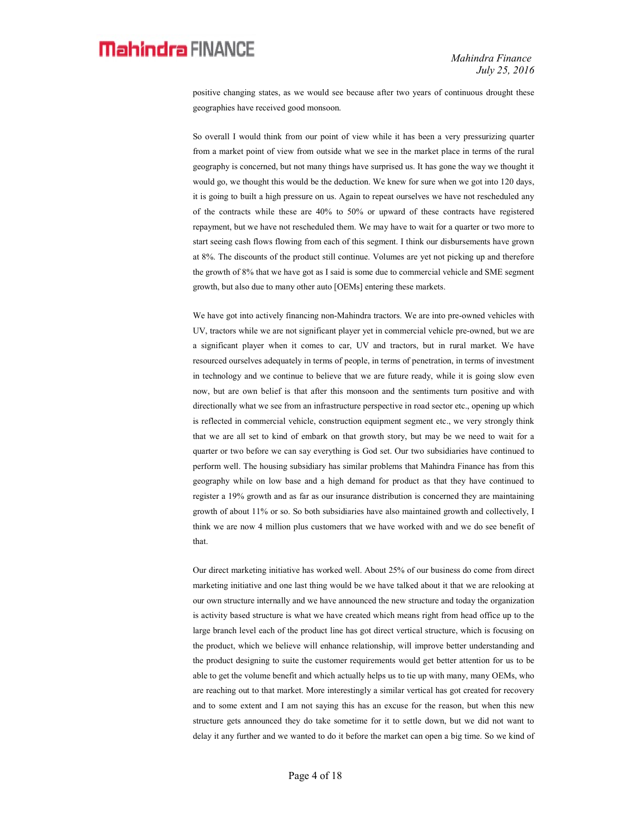positive changing states, as we would see because after two years of continuous drought these geographies have received good monsoon.

 So overall I would think from our point of view while it has been a very pressurizing quarter from a market point of view from outside what we see in the market place in terms of the rural geography is concerned, but not many things have surprised us. It has gone the way we thought it would go, we thought this would be the deduction. We knew for sure when we got into 120 days, it is going to built a high pressure on us. Again to repeat ourselves we have not rescheduled any of the contracts while these are 40% to 50% or upward of these contracts have registered repayment, but we have not rescheduled them. We may have to wait for a quarter or two more to start seeing cash flows flowing from each of this segment. I think our disbursements have grown at 8%. The discounts of the product still continue. Volumes are yet not picking up and therefore the growth of 8% that we have got as I said is some due to commercial vehicle and SME segment growth, but also due to many other auto [OEMs] entering these markets.

 We have got into actively financing non-Mahindra tractors. We are into pre-owned vehicles with UV, tractors while we are not significant player yet in commercial vehicle pre-owned, but we are a significant player when it comes to car, UV and tractors, but in rural market. We have resourced ourselves adequately in terms of people, in terms of penetration, in terms of investment in technology and we continue to believe that we are future ready, while it is going slow even now, but are own belief is that after this monsoon and the sentiments turn positive and with directionally what we see from an infrastructure perspective in road sector etc., opening up which is reflected in commercial vehicle, construction equipment segment etc., we very strongly think that we are all set to kind of embark on that growth story, but may be we need to wait for a quarter or two before we can say everything is God set. Our two subsidiaries have continued to perform well. The housing subsidiary has similar problems that Mahindra Finance has from this geography while on low base and a high demand for product as that they have continued to register a 19% growth and as far as our insurance distribution is concerned they are maintaining growth of about 11% or so. So both subsidiaries have also maintained growth and collectively, I think we are now 4 million plus customers that we have worked with and we do see benefit of that.

 Our direct marketing initiative has worked well. About 25% of our business do come from direct marketing initiative and one last thing would be we have talked about it that we are relooking at our own structure internally and we have announced the new structure and today the organization is activity based structure is what we have created which means right from head office up to the large branch level each of the product line has got direct vertical structure, which is focusing on the product, which we believe will enhance relationship, will improve better understanding and the product designing to suite the customer requirements would get better attention for us to be able to get the volume benefit and which actually helps us to tie up with many, many OEMs, who are reaching out to that market. More interestingly a similar vertical has got created for recovery and to some extent and I am not saying this has an excuse for the reason, but when this new structure gets announced they do take sometime for it to settle down, but we did not want to delay it any further and we wanted to do it before the market can open a big time. So we kind of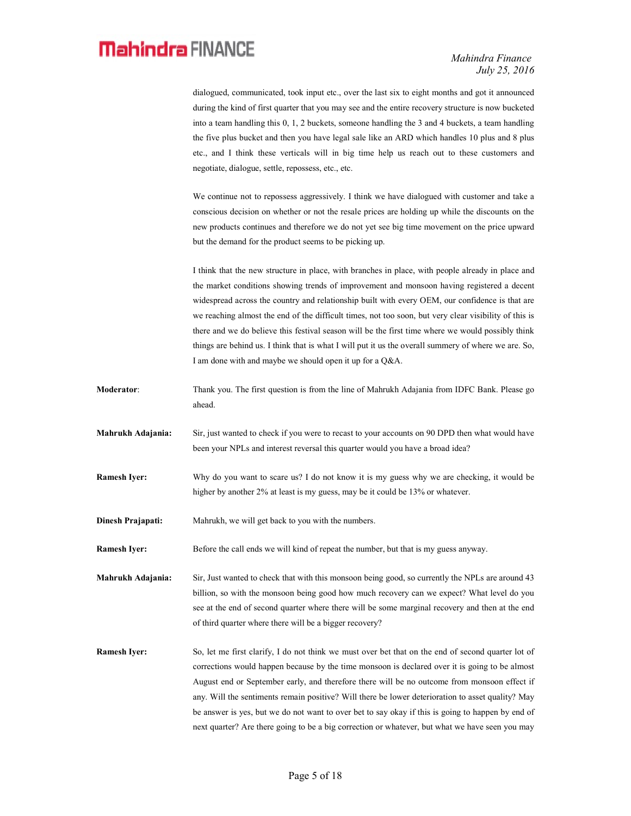Mahindra Finance July 25, 2016

dialogued, communicated, took input etc., over the last six to eight months and got it announced during the kind of first quarter that you may see and the entire recovery structure is now bucketed into a team handling this 0, 1, 2 buckets, someone handling the 3 and 4 buckets, a team handling the five plus bucket and then you have legal sale like an ARD which handles 10 plus and 8 plus etc., and I think these verticals will in big time help us reach out to these customers and negotiate, dialogue, settle, repossess, etc., etc.

 We continue not to repossess aggressively. I think we have dialogued with customer and take a conscious decision on whether or not the resale prices are holding up while the discounts on the new products continues and therefore we do not yet see big time movement on the price upward but the demand for the product seems to be picking up.

 I think that the new structure in place, with branches in place, with people already in place and the market conditions showing trends of improvement and monsoon having registered a decent widespread across the country and relationship built with every OEM, our confidence is that are we reaching almost the end of the difficult times, not too soon, but very clear visibility of this is there and we do believe this festival season will be the first time where we would possibly think things are behind us. I think that is what I will put it us the overall summery of where we are. So, I am done with and maybe we should open it up for a Q&A.

- Moderator: Thank you. The first question is from the line of Mahrukh Adajania from IDFC Bank. Please go ahead.
- Mahrukh Adajania: Sir, just wanted to check if you were to recast to your accounts on 90 DPD then what would have been your NPLs and interest reversal this quarter would you have a broad idea?
- Ramesh Iyer: Why do you want to scare us? I do not know it is my guess why we are checking, it would be higher by another 2% at least is my guess, may be it could be 13% or whatever.

Dinesh Prajapati: Mahrukh, we will get back to you with the numbers.

Ramesh Iyer: Before the call ends we will kind of repeat the number, but that is my guess anyway.

Mahrukh Adajania: Sir, Just wanted to check that with this monsoon being good, so currently the NPLs are around 43 billion, so with the monsoon being good how much recovery can we expect? What level do you see at the end of second quarter where there will be some marginal recovery and then at the end of third quarter where there will be a bigger recovery?

Ramesh Iyer: So, let me first clarify, I do not think we must over bet that on the end of second quarter lot of corrections would happen because by the time monsoon is declared over it is going to be almost August end or September early, and therefore there will be no outcome from monsoon effect if any. Will the sentiments remain positive? Will there be lower deterioration to asset quality? May be answer is yes, but we do not want to over bet to say okay if this is going to happen by end of next quarter? Are there going to be a big correction or whatever, but what we have seen you may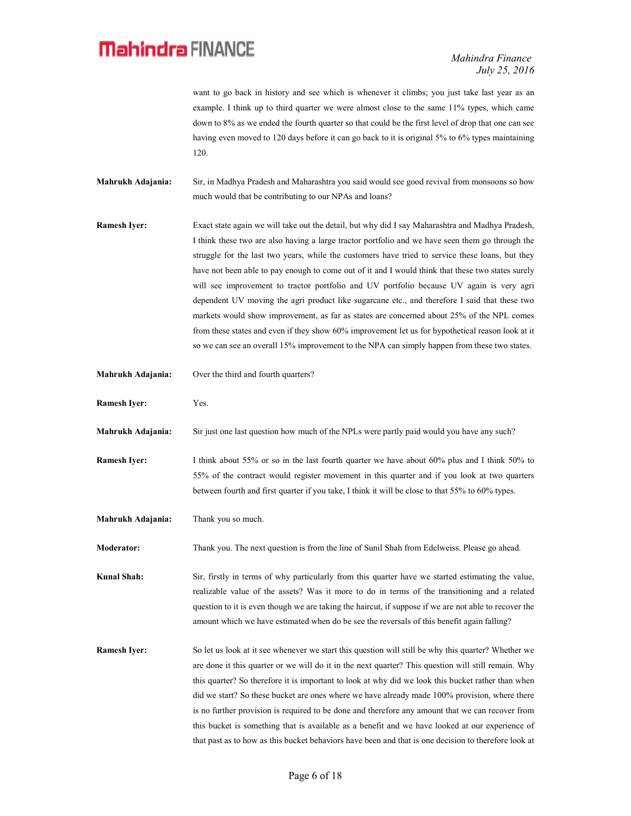want to go back in history and see which is whenever it climbs; you just take last year as an example. I think up to third quarter we were almost close to the same 11% types, which came down to 8% as we ended the fourth quarter so that could be the first level of drop that one can see having even moved to 120 days before it can go back to it is original 5% to 6% types maintaining 120.

Mahrukh Adajania: Sir, in Madhya Pradesh and Maharashtra you said would see good revival from monsoons so how much would that be contributing to our NPAs and loans?

Ramesh Iyer: Exact state again we will take out the detail, but why did I say Maharashtra and Madhya Pradesh, I think these two are also having a large tractor portfolio and we have seen them go through the struggle for the last two years, while the customers have tried to service these loans, but they have not been able to pay enough to come out of it and I would think that these two states surely will see improvement to tractor portfolio and UV portfolio because UV again is very agri dependent UV moving the agri product like sugarcane etc., and therefore I said that these two markets would show improvement, as far as states are concerned about 25% of the NPL comes from these states and even if they show 60% improvement let us for hypothetical reason look at it so we can see an overall 15% improvement to the NPA can simply happen from these two states.

- Mahrukh Adajania: Over the third and fourth quarters?
- Ramesh Iver: Yes.

Mahrukh Adajania: Sir just one last question how much of the NPLs were partly paid would you have any such?

- Ramesh Iyer: I think about 55% or so in the last fourth quarter we have about 60% plus and I think 50% to 55% of the contract would register movement in this quarter and if you look at two quarters between fourth and first quarter if you take, I think it will be close to that 55% to 60% types.
- Mahrukh Adajania: Thank you so much.

Moderator: Thank you. The next question is from the line of Sunil Shah from Edelweiss. Please go ahead.

Kunal Shah: Sir, firstly in terms of why particularly from this quarter have we started estimating the value, realizable value of the assets? Was it more to do in terms of the transitioning and a related question to it is even though we are taking the haircut, if suppose if we are not able to recover the amount which we have estimated when do be see the reversals of this benefit again falling?

Ramesh Iyer: So let us look at it see whenever we start this question will still be why this quarter? Whether we are done it this quarter or we will do it in the next quarter? This question will still remain. Why this quarter? So therefore it is important to look at why did we look this bucket rather than when did we start? So these bucket are ones where we have already made 100% provision, where there is no further provision is required to be done and therefore any amount that we can recover from this bucket is something that is available as a benefit and we have looked at our experience of that past as to how as this bucket behaviors have been and that is one decision to therefore look at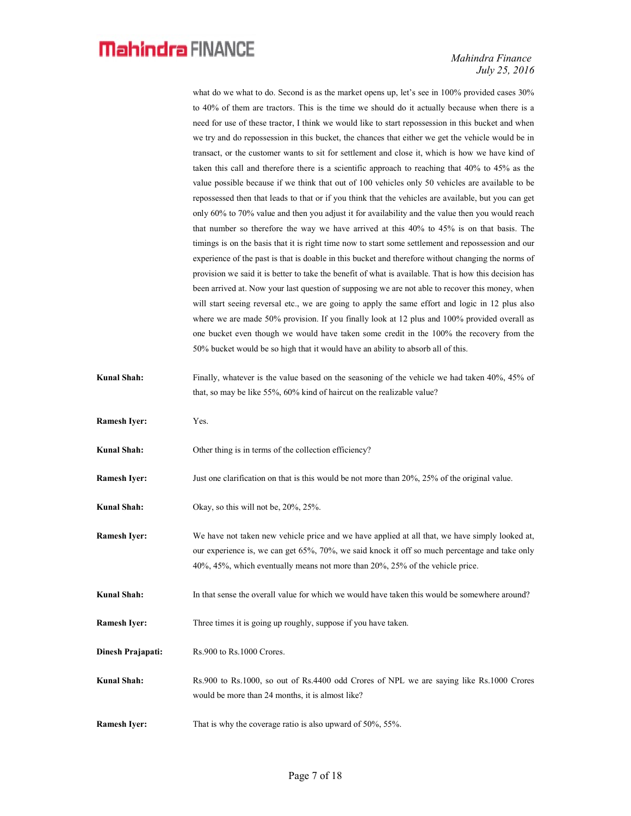Mahindra Finance July 25, 2016

what do we what to do. Second is as the market opens up, let's see in 100% provided cases 30% to 40% of them are tractors. This is the time we should do it actually because when there is a need for use of these tractor, I think we would like to start repossession in this bucket and when we try and do repossession in this bucket, the chances that either we get the vehicle would be in transact, or the customer wants to sit for settlement and close it, which is how we have kind of taken this call and therefore there is a scientific approach to reaching that 40% to 45% as the value possible because if we think that out of 100 vehicles only 50 vehicles are available to be repossessed then that leads to that or if you think that the vehicles are available, but you can get only 60% to 70% value and then you adjust it for availability and the value then you would reach that number so therefore the way we have arrived at this 40% to 45% is on that basis. The timings is on the basis that it is right time now to start some settlement and repossession and our experience of the past is that is doable in this bucket and therefore without changing the norms of provision we said it is better to take the benefit of what is available. That is how this decision has been arrived at. Now your last question of supposing we are not able to recover this money, when will start seeing reversal etc., we are going to apply the same effort and logic in 12 plus also where we are made 50% provision. If you finally look at 12 plus and 100% provided overall as one bucket even though we would have taken some credit in the 100% the recovery from the 50% bucket would be so high that it would have an ability to absorb all of this.

- Kunal Shah: Finally, whatever is the value based on the seasoning of the vehicle we had taken 40%, 45% of that, so may be like 55%, 60% kind of haircut on the realizable value?
- Ramesh Iyer: Yes.

Kunal Shah: Other thing is in terms of the collection efficiency?

Ramesh Iyer: Just one clarification on that is this would be not more than 20%, 25% of the original value.

- Kunal Shah: Okay, so this will not be, 20%, 25%.
- Ramesh Iyer: We have not taken new vehicle price and we have applied at all that, we have simply looked at, our experience is, we can get 65%, 70%, we said knock it off so much percentage and take only 40%, 45%, which eventually means not more than 20%, 25% of the vehicle price.
- Kunal Shah: In that sense the overall value for which we would have taken this would be somewhere around?

Ramesh Iyer: Three times it is going up roughly, suppose if you have taken.

- Dinesh Prajapati: Rs.900 to Rs.1000 Crores.
- Kunal Shah: Rs.900 to Rs.1000, so out of Rs.4400 odd Crores of NPL we are saying like Rs.1000 Crores would be more than 24 months, it is almost like?
- Ramesh Iyer: That is why the coverage ratio is also upward of 50%, 55%.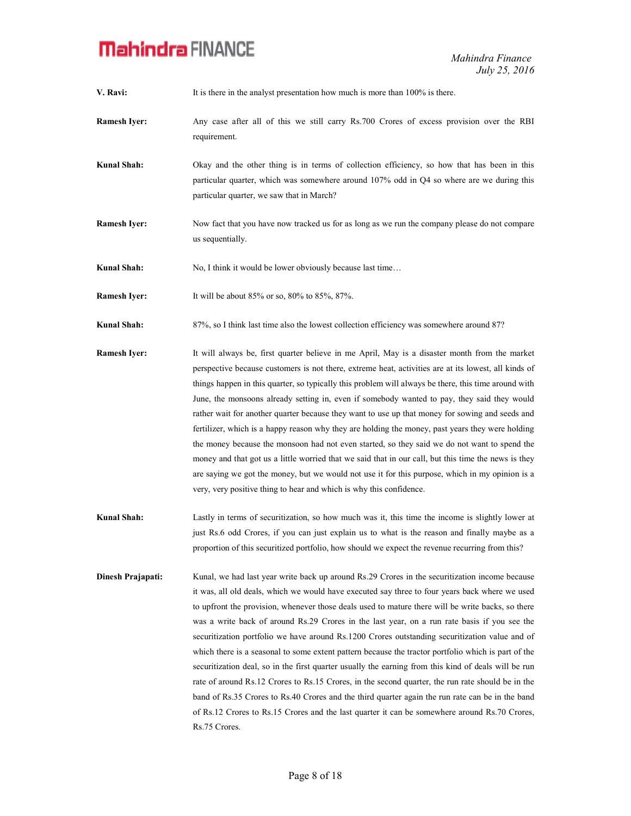V. Ravi: It is there in the analyst presentation how much is more than 100% is there.

- Ramesh Iyer: Any case after all of this we still carry Rs.700 Crores of excess provision over the RBI requirement.
- Kunal Shah: Okay and the other thing is in terms of collection efficiency, so how that has been in this particular quarter, which was somewhere around 107% odd in Q4 so where are we during this particular quarter, we saw that in March?
- **Ramesh Iver:** Now fact that you have now tracked us for as long as we run the company please do not compare us sequentially.

Kunal Shah: No, I think it would be lower obviously because last time...

Ramesh Iyer: It will be about 85% or so, 80% to 85%, 87%.

Kunal Shah: 87%, so I think last time also the lowest collection efficiency was somewhere around 87?

- Ramesh Iyer: It will always be, first quarter believe in me April, May is a disaster month from the market perspective because customers is not there, extreme heat, activities are at its lowest, all kinds of things happen in this quarter, so typically this problem will always be there, this time around with June, the monsoons already setting in, even if somebody wanted to pay, they said they would rather wait for another quarter because they want to use up that money for sowing and seeds and fertilizer, which is a happy reason why they are holding the money, past years they were holding the money because the monsoon had not even started, so they said we do not want to spend the money and that got us a little worried that we said that in our call, but this time the news is they are saying we got the money, but we would not use it for this purpose, which in my opinion is a very, very positive thing to hear and which is why this confidence.
- Kunal Shah: Lastly in terms of securitization, so how much was it, this time the income is slightly lower at just Rs.6 odd Crores, if you can just explain us to what is the reason and finally maybe as a proportion of this securitized portfolio, how should we expect the revenue recurring from this?
- Dinesh Prajapati: Kunal, we had last year write back up around Rs.29 Crores in the securitization income because it was, all old deals, which we would have executed say three to four years back where we used to upfront the provision, whenever those deals used to mature there will be write backs, so there was a write back of around Rs.29 Crores in the last year, on a run rate basis if you see the securitization portfolio we have around Rs.1200 Crores outstanding securitization value and of which there is a seasonal to some extent pattern because the tractor portfolio which is part of the securitization deal, so in the first quarter usually the earning from this kind of deals will be run rate of around Rs.12 Crores to Rs.15 Crores, in the second quarter, the run rate should be in the band of Rs.35 Crores to Rs.40 Crores and the third quarter again the run rate can be in the band of Rs.12 Crores to Rs.15 Crores and the last quarter it can be somewhere around Rs.70 Crores, Rs.75 Crores.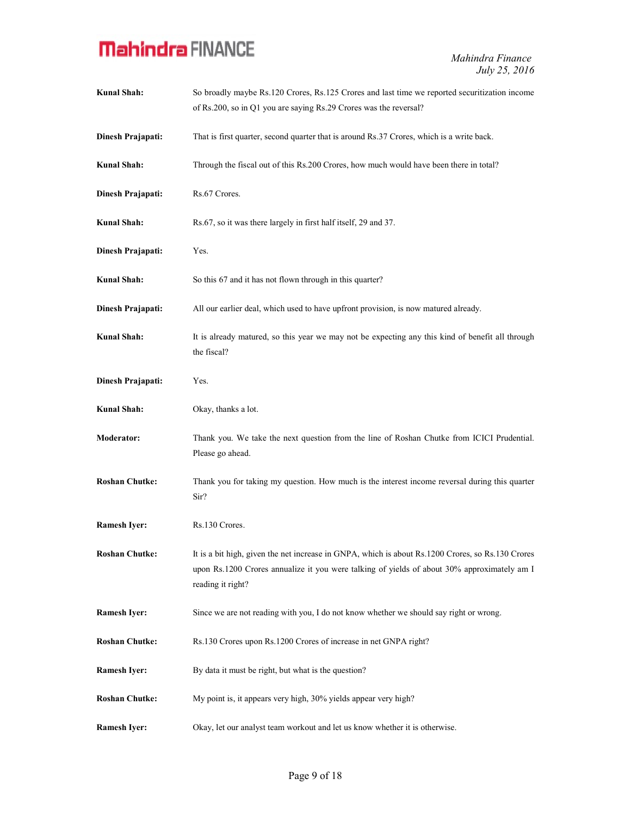| <b>Kunal Shah:</b>    | So broadly maybe Rs.120 Crores, Rs.125 Crores and last time we reported securitization income<br>of Rs.200, so in Q1 you are saying Rs.29 Crores was the reversal?                                                    |
|-----------------------|-----------------------------------------------------------------------------------------------------------------------------------------------------------------------------------------------------------------------|
| Dinesh Prajapati:     | That is first quarter, second quarter that is around Rs.37 Crores, which is a write back.                                                                                                                             |
| <b>Kunal Shah:</b>    | Through the fiscal out of this Rs.200 Crores, how much would have been there in total?                                                                                                                                |
| Dinesh Prajapati:     | Rs.67 Crores.                                                                                                                                                                                                         |
| <b>Kunal Shah:</b>    | Rs.67, so it was there largely in first half itself, 29 and 37.                                                                                                                                                       |
| Dinesh Prajapati:     | Yes.                                                                                                                                                                                                                  |
| <b>Kunal Shah:</b>    | So this 67 and it has not flown through in this quarter?                                                                                                                                                              |
| Dinesh Prajapati:     | All our earlier deal, which used to have upfront provision, is now matured already.                                                                                                                                   |
| <b>Kunal Shah:</b>    | It is already matured, so this year we may not be expecting any this kind of benefit all through<br>the fiscal?                                                                                                       |
| Dinesh Prajapati:     | Yes.                                                                                                                                                                                                                  |
| <b>Kunal Shah:</b>    | Okay, thanks a lot.                                                                                                                                                                                                   |
| Moderator:            | Thank you. We take the next question from the line of Roshan Chutke from ICICI Prudential.<br>Please go ahead.                                                                                                        |
| <b>Roshan Chutke:</b> | Thank you for taking my question. How much is the interest income reversal during this quarter<br>Sir?                                                                                                                |
| <b>Ramesh Iyer:</b>   | Rs.130 Crores.                                                                                                                                                                                                        |
| <b>Roshan Chutke:</b> | It is a bit high, given the net increase in GNPA, which is about Rs.1200 Crores, so Rs.130 Crores<br>upon Rs.1200 Crores annualize it you were talking of yields of about 30% approximately am I<br>reading it right? |
| <b>Ramesh Iyer:</b>   | Since we are not reading with you, I do not know whether we should say right or wrong.                                                                                                                                |
| <b>Roshan Chutke:</b> | Rs.130 Crores upon Rs.1200 Crores of increase in net GNPA right?                                                                                                                                                      |
| <b>Ramesh Iver:</b>   | By data it must be right, but what is the question?                                                                                                                                                                   |
| <b>Roshan Chutke:</b> | My point is, it appears very high, 30% yields appear very high?                                                                                                                                                       |
| <b>Ramesh Iyer:</b>   | Okay, let our analyst team workout and let us know whether it is otherwise.                                                                                                                                           |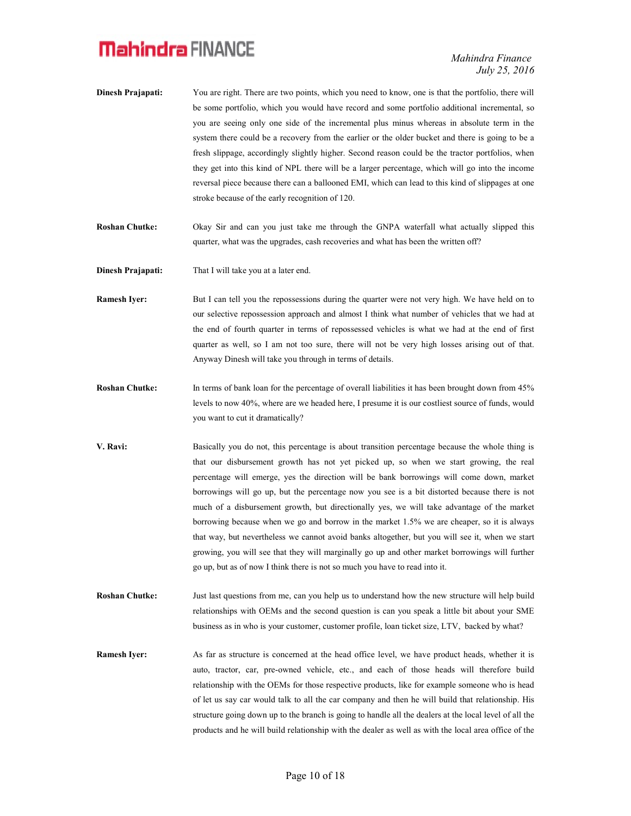- Dinesh Prajapati: You are right. There are two points, which you need to know, one is that the portfolio, there will be some portfolio, which you would have record and some portfolio additional incremental, so you are seeing only one side of the incremental plus minus whereas in absolute term in the system there could be a recovery from the earlier or the older bucket and there is going to be a fresh slippage, accordingly slightly higher. Second reason could be the tractor portfolios, when they get into this kind of NPL there will be a larger percentage, which will go into the income reversal piece because there can a ballooned EMI, which can lead to this kind of slippages at one stroke because of the early recognition of 120.
- Roshan Chutke: Okay Sir and can you just take me through the GNPA waterfall what actually slipped this quarter, what was the upgrades, cash recoveries and what has been the written off?
- Dinesh Prajapati: That I will take you at a later end.
- Ramesh Iyer: But I can tell you the repossessions during the quarter were not very high. We have held on to our selective repossession approach and almost I think what number of vehicles that we had at the end of fourth quarter in terms of repossessed vehicles is what we had at the end of first quarter as well, so I am not too sure, there will not be very high losses arising out of that. Anyway Dinesh will take you through in terms of details.
- Roshan Chutke: In terms of bank loan for the percentage of overall liabilities it has been brought down from 45% levels to now 40%, where are we headed here, I presume it is our costliest source of funds, would you want to cut it dramatically?
- V. Ravi: Basically you do not, this percentage is about transition percentage because the whole thing is that our disbursement growth has not yet picked up, so when we start growing, the real percentage will emerge, yes the direction will be bank borrowings will come down, market borrowings will go up, but the percentage now you see is a bit distorted because there is not much of a disbursement growth, but directionally yes, we will take advantage of the market borrowing because when we go and borrow in the market 1.5% we are cheaper, so it is always that way, but nevertheless we cannot avoid banks altogether, but you will see it, when we start growing, you will see that they will marginally go up and other market borrowings will further go up, but as of now I think there is not so much you have to read into it.
- Roshan Chutke: Just last questions from me, can you help us to understand how the new structure will help build relationships with OEMs and the second question is can you speak a little bit about your SME business as in who is your customer, customer profile, loan ticket size, LTV, backed by what?
- Ramesh Iyer: As far as structure is concerned at the head office level, we have product heads, whether it is auto, tractor, car, pre-owned vehicle, etc., and each of those heads will therefore build relationship with the OEMs for those respective products, like for example someone who is head of let us say car would talk to all the car company and then he will build that relationship. His structure going down up to the branch is going to handle all the dealers at the local level of all the products and he will build relationship with the dealer as well as with the local area office of the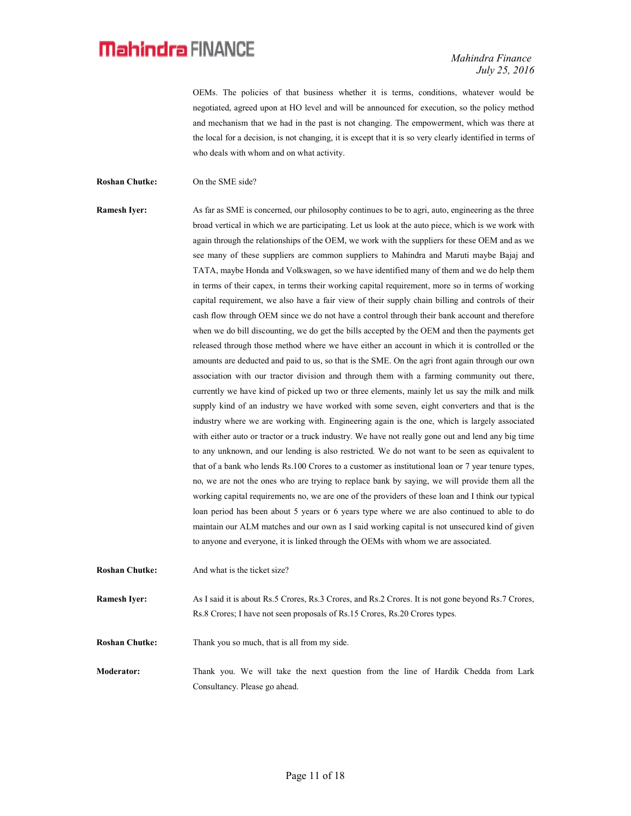Mahindra Finance July 25, 2016

OEMs. The policies of that business whether it is terms, conditions, whatever would be negotiated, agreed upon at HO level and will be announced for execution, so the policy method and mechanism that we had in the past is not changing. The empowerment, which was there at the local for a decision, is not changing, it is except that it is so very clearly identified in terms of who deals with whom and on what activity.

Roshan Chutke: On the SME side?

Ramesh Iyer: As far as SME is concerned, our philosophy continues to be to agri, auto, engineering as the three broad vertical in which we are participating. Let us look at the auto piece, which is we work with again through the relationships of the OEM, we work with the suppliers for these OEM and as we see many of these suppliers are common suppliers to Mahindra and Maruti maybe Bajaj and TATA, maybe Honda and Volkswagen, so we have identified many of them and we do help them in terms of their capex, in terms their working capital requirement, more so in terms of working capital requirement, we also have a fair view of their supply chain billing and controls of their cash flow through OEM since we do not have a control through their bank account and therefore when we do bill discounting, we do get the bills accepted by the OEM and then the payments get released through those method where we have either an account in which it is controlled or the amounts are deducted and paid to us, so that is the SME. On the agri front again through our own association with our tractor division and through them with a farming community out there, currently we have kind of picked up two or three elements, mainly let us say the milk and milk supply kind of an industry we have worked with some seven, eight converters and that is the industry where we are working with. Engineering again is the one, which is largely associated with either auto or tractor or a truck industry. We have not really gone out and lend any big time to any unknown, and our lending is also restricted. We do not want to be seen as equivalent to that of a bank who lends Rs.100 Crores to a customer as institutional loan or 7 year tenure types, no, we are not the ones who are trying to replace bank by saying, we will provide them all the working capital requirements no, we are one of the providers of these loan and I think our typical loan period has been about 5 years or 6 years type where we are also continued to able to do maintain our ALM matches and our own as I said working capital is not unsecured kind of given to anyone and everyone, it is linked through the OEMs with whom we are associated.

Roshan Chutke: And what is the ticket size?

Ramesh Iyer: As I said it is about Rs.5 Crores, Rs.3 Crores, and Rs.2 Crores. It is not gone beyond Rs.7 Crores, Rs.8 Crores; I have not seen proposals of Rs.15 Crores, Rs.20 Crores types.

Roshan Chutke: Thank you so much, that is all from my side.

Moderator: Thank you. We will take the next question from the line of Hardik Chedda from Lark Consultancy. Please go ahead.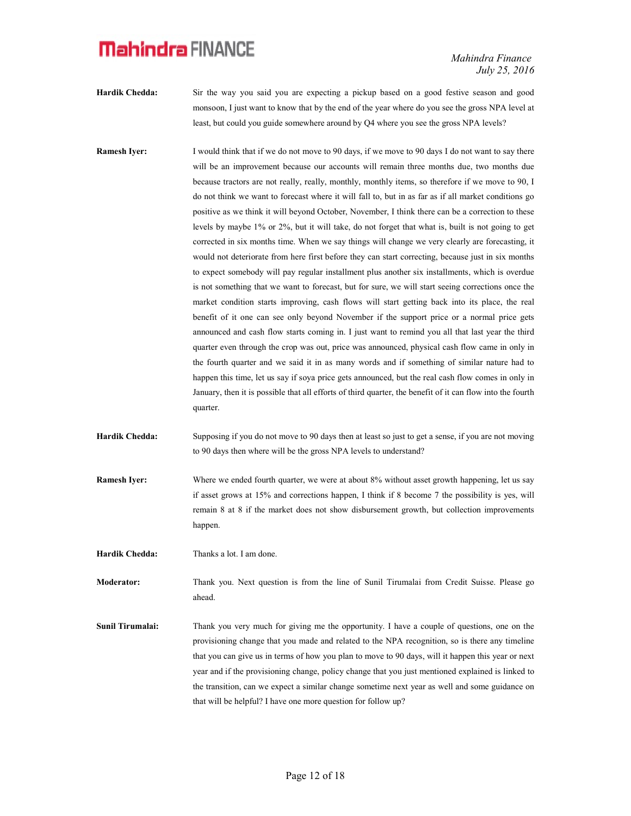Mahindra Finance July 25, 2016

- Hardik Chedda: Sir the way you said you are expecting a pickup based on a good festive season and good monsoon, I just want to know that by the end of the year where do you see the gross NPA level at least, but could you guide somewhere around by Q4 where you see the gross NPA levels?
- Ramesh Iyer: I would think that if we do not move to 90 days, if we move to 90 days I do not want to say there will be an improvement because our accounts will remain three months due, two months due because tractors are not really, really, monthly, monthly items, so therefore if we move to 90, I do not think we want to forecast where it will fall to, but in as far as if all market conditions go positive as we think it will beyond October, November, I think there can be a correction to these levels by maybe 1% or 2%, but it will take, do not forget that what is, built is not going to get corrected in six months time. When we say things will change we very clearly are forecasting, it would not deteriorate from here first before they can start correcting, because just in six months to expect somebody will pay regular installment plus another six installments, which is overdue is not something that we want to forecast, but for sure, we will start seeing corrections once the market condition starts improving, cash flows will start getting back into its place, the real benefit of it one can see only beyond November if the support price or a normal price gets announced and cash flow starts coming in. I just want to remind you all that last year the third quarter even through the crop was out, price was announced, physical cash flow came in only in the fourth quarter and we said it in as many words and if something of similar nature had to happen this time, let us say if soya price gets announced, but the real cash flow comes in only in January, then it is possible that all efforts of third quarter, the benefit of it can flow into the fourth quarter.
- Hardik Chedda: Supposing if you do not move to 90 days then at least so just to get a sense, if you are not moving to 90 days then where will be the gross NPA levels to understand?
- Ramesh Iyer: Where we ended fourth quarter, we were at about 8% without asset growth happening, let us say if asset grows at 15% and corrections happen, I think if 8 become 7 the possibility is yes, will remain 8 at 8 if the market does not show disbursement growth, but collection improvements happen.

Hardik Chedda: Thanks a lot. I am done.

Moderator: Thank you. Next question is from the line of Sunil Tirumalai from Credit Suisse. Please go ahead.

Sunil Tirumalai: Thank you very much for giving me the opportunity. I have a couple of questions, one on the provisioning change that you made and related to the NPA recognition, so is there any timeline that you can give us in terms of how you plan to move to 90 days, will it happen this year or next year and if the provisioning change, policy change that you just mentioned explained is linked to the transition, can we expect a similar change sometime next year as well and some guidance on that will be helpful? I have one more question for follow up?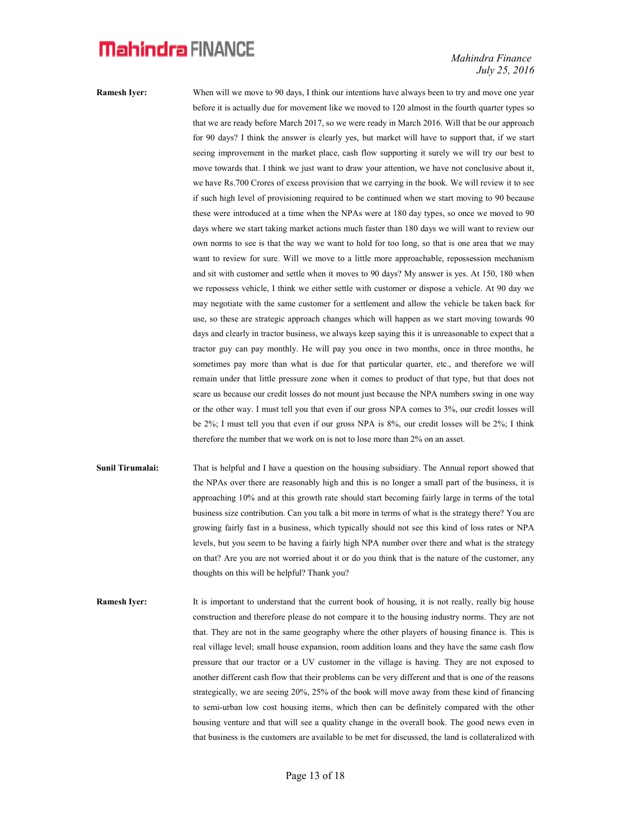Mahindra Finance July 25, 2016

Ramesh Iyer: When will we move to 90 days, I think our intentions have always been to try and move one year before it is actually due for movement like we moved to 120 almost in the fourth quarter types so that we are ready before March 2017, so we were ready in March 2016. Will that be our approach for 90 days? I think the answer is clearly yes, but market will have to support that, if we start seeing improvement in the market place, cash flow supporting it surely we will try our best to move towards that. I think we just want to draw your attention, we have not conclusive about it, we have Rs.700 Crores of excess provision that we carrying in the book. We will review it to see if such high level of provisioning required to be continued when we start moving to 90 because these were introduced at a time when the NPAs were at 180 day types, so once we moved to 90 days where we start taking market actions much faster than 180 days we will want to review our own norms to see is that the way we want to hold for too long, so that is one area that we may want to review for sure. Will we move to a little more approachable, repossession mechanism and sit with customer and settle when it moves to 90 days? My answer is yes. At 150, 180 when we repossess vehicle, I think we either settle with customer or dispose a vehicle. At 90 day we may negotiate with the same customer for a settlement and allow the vehicle be taken back for use, so these are strategic approach changes which will happen as we start moving towards 90 days and clearly in tractor business, we always keep saying this it is unreasonable to expect that a tractor guy can pay monthly. He will pay you once in two months, once in three months, he sometimes pay more than what is due for that particular quarter, etc., and therefore we will remain under that little pressure zone when it comes to product of that type, but that does not scare us because our credit losses do not mount just because the NPA numbers swing in one way or the other way. I must tell you that even if our gross NPA comes to 3%, our credit losses will be 2%; I must tell you that even if our gross NPA is 8%, our credit losses will be 2%; I think therefore the number that we work on is not to lose more than 2% on an asset.

- Sunil Tirumalai: That is helpful and I have a question on the housing subsidiary. The Annual report showed that the NPAs over there are reasonably high and this is no longer a small part of the business, it is approaching 10% and at this growth rate should start becoming fairly large in terms of the total business size contribution. Can you talk a bit more in terms of what is the strategy there? You are growing fairly fast in a business, which typically should not see this kind of loss rates or NPA levels, but you seem to be having a fairly high NPA number over there and what is the strategy on that? Are you are not worried about it or do you think that is the nature of the customer, any thoughts on this will be helpful? Thank you?
- Ramesh Iyer: It is important to understand that the current book of housing, it is not really, really big house construction and therefore please do not compare it to the housing industry norms. They are not that. They are not in the same geography where the other players of housing finance is. This is real village level; small house expansion, room addition loans and they have the same cash flow pressure that our tractor or a UV customer in the village is having. They are not exposed to another different cash flow that their problems can be very different and that is one of the reasons strategically, we are seeing 20%, 25% of the book will move away from these kind of financing to semi-urban low cost housing items, which then can be definitely compared with the other housing venture and that will see a quality change in the overall book. The good news even in that business is the customers are available to be met for discussed, the land is collateralized with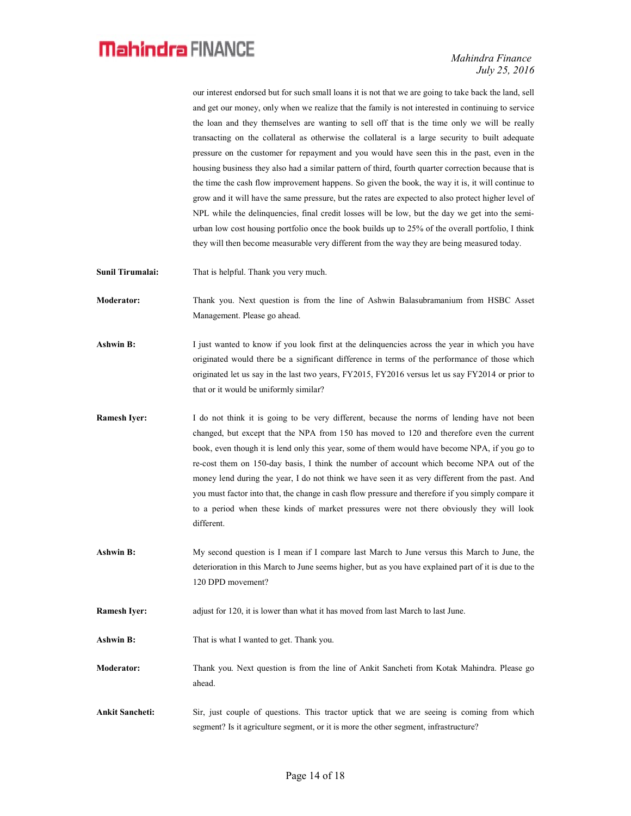Mahindra Finance July 25, 2016

our interest endorsed but for such small loans it is not that we are going to take back the land, sell and get our money, only when we realize that the family is not interested in continuing to service the loan and they themselves are wanting to sell off that is the time only we will be really transacting on the collateral as otherwise the collateral is a large security to built adequate pressure on the customer for repayment and you would have seen this in the past, even in the housing business they also had a similar pattern of third, fourth quarter correction because that is the time the cash flow improvement happens. So given the book, the way it is, it will continue to grow and it will have the same pressure, but the rates are expected to also protect higher level of NPL while the delinquencies, final credit losses will be low, but the day we get into the semiurban low cost housing portfolio once the book builds up to 25% of the overall portfolio, I think they will then become measurable very different from the way they are being measured today.

- Sunil Tirumalai: That is helpful. Thank you very much.
- Moderator: Thank you. Next question is from the line of Ashwin Balasubramanium from HSBC Asset Management. Please go ahead.
- Ashwin B: I just wanted to know if you look first at the delinquencies across the year in which you have originated would there be a significant difference in terms of the performance of those which originated let us say in the last two years, FY2015, FY2016 versus let us say FY2014 or prior to that or it would be uniformly similar?
- Ramesh Iyer: I do not think it is going to be very different, because the norms of lending have not been changed, but except that the NPA from 150 has moved to 120 and therefore even the current book, even though it is lend only this year, some of them would have become NPA, if you go to re-cost them on 150-day basis, I think the number of account which become NPA out of the money lend during the year, I do not think we have seen it as very different from the past. And you must factor into that, the change in cash flow pressure and therefore if you simply compare it to a period when these kinds of market pressures were not there obviously they will look different.
- Ashwin B: My second question is I mean if I compare last March to June versus this March to June, the deterioration in this March to June seems higher, but as you have explained part of it is due to the 120 DPD movement?
- Ramesh Iyer: adjust for 120, it is lower than what it has moved from last March to last June.
- Ashwin B: That is what I wanted to get. Thank you.
- Moderator: Thank you. Next question is from the line of Ankit Sancheti from Kotak Mahindra. Please go ahead.
- Ankit Sancheti: Sir, just couple of questions. This tractor uptick that we are seeing is coming from which segment? Is it agriculture segment, or it is more the other segment, infrastructure?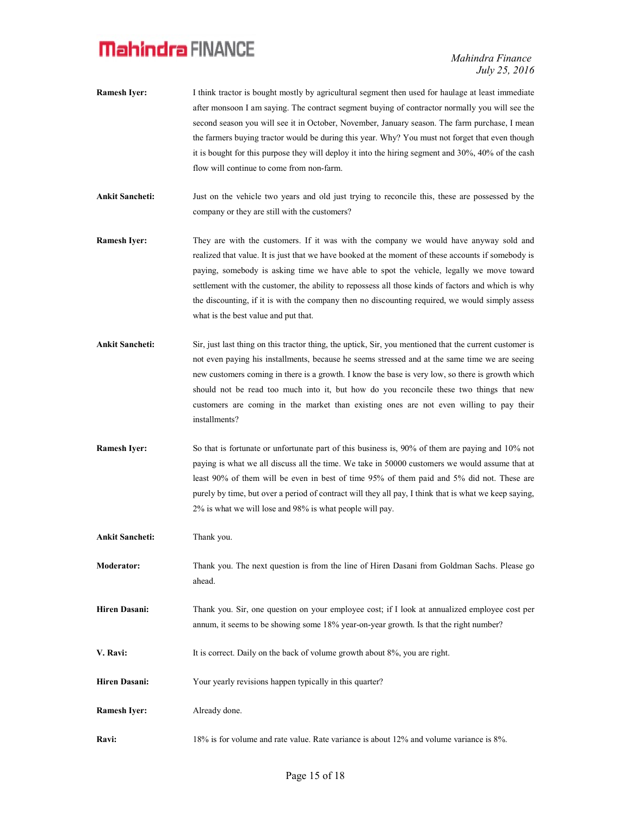Mahindra Finance July 25, 2016

- Ramesh Iyer: I think tractor is bought mostly by agricultural segment then used for haulage at least immediate after monsoon I am saying. The contract segment buying of contractor normally you will see the second season you will see it in October, November, January season. The farm purchase, I mean the farmers buying tractor would be during this year. Why? You must not forget that even though it is bought for this purpose they will deploy it into the hiring segment and 30%, 40% of the cash flow will continue to come from non-farm.
- Ankit Sancheti: Just on the vehicle two years and old just trying to reconcile this, these are possessed by the company or they are still with the customers?
- Ramesh Iyer: They are with the customers. If it was with the company we would have anyway sold and realized that value. It is just that we have booked at the moment of these accounts if somebody is paying, somebody is asking time we have able to spot the vehicle, legally we move toward settlement with the customer, the ability to repossess all those kinds of factors and which is why the discounting, if it is with the company then no discounting required, we would simply assess what is the best value and put that.
- Ankit Sancheti: Sir, just last thing on this tractor thing, the uptick, Sir, you mentioned that the current customer is not even paying his installments, because he seems stressed and at the same time we are seeing new customers coming in there is a growth. I know the base is very low, so there is growth which should not be read too much into it, but how do you reconcile these two things that new customers are coming in the market than existing ones are not even willing to pay their installments?
- Ramesh Iyer: So that is fortunate or unfortunate part of this business is, 90% of them are paying and 10% not paying is what we all discuss all the time. We take in 50000 customers we would assume that at least 90% of them will be even in best of time 95% of them paid and 5% did not. These are purely by time, but over a period of contract will they all pay, I think that is what we keep saying, 2% is what we will lose and 98% is what people will pay.

Ankit Sancheti: Thank you.

- Moderator: Thank you. The next question is from the line of Hiren Dasani from Goldman Sachs. Please go ahead.
- Hiren Dasani: Thank you. Sir, one question on your employee cost; if I look at annualized employee cost per annum, it seems to be showing some 18% year-on-year growth. Is that the right number?
- V. Ravi: It is correct. Daily on the back of volume growth about 8%, you are right.
- Hiren Dasani: Your yearly revisions happen typically in this quarter?

Ramesh Iver: Already done.

Ravi: 18% is for volume and rate value. Rate variance is about 12% and volume variance is 8%.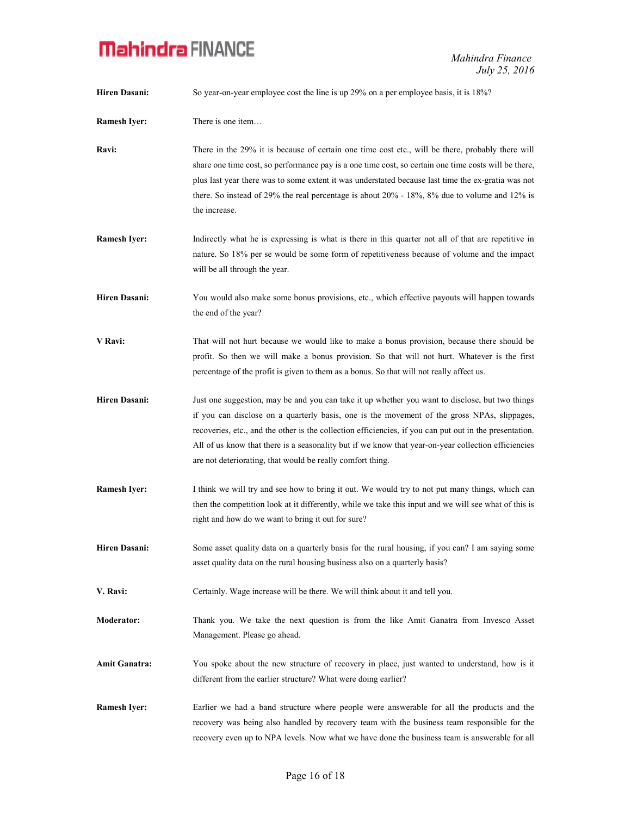| <b>Hiren Dasani:</b> | So year-on-year employee cost the line is up 29% on a per employee basis, it is 18%?                                                                                                                                                                                                                                                                                                                                                                                           |
|----------------------|--------------------------------------------------------------------------------------------------------------------------------------------------------------------------------------------------------------------------------------------------------------------------------------------------------------------------------------------------------------------------------------------------------------------------------------------------------------------------------|
| <b>Ramesh Iyer:</b>  | There is one item                                                                                                                                                                                                                                                                                                                                                                                                                                                              |
| Ravi:                | There in the 29% it is because of certain one time cost etc., will be there, probably there will<br>share one time cost, so performance pay is a one time cost, so certain one time costs will be there,<br>plus last year there was to some extent it was understated because last time the ex-gratia was not<br>there. So instead of 29% the real percentage is about $20\%$ - 18%, 8% due to volume and 12% is<br>the increase.                                             |
| <b>Ramesh Iyer:</b>  | Indirectly what he is expressing is what is there in this quarter not all of that are repetitive in<br>nature. So 18% per se would be some form of repetitiveness because of volume and the impact<br>will be all through the year.                                                                                                                                                                                                                                            |
| <b>Hiren Dasani:</b> | You would also make some bonus provisions, etc., which effective payouts will happen towards<br>the end of the year?                                                                                                                                                                                                                                                                                                                                                           |
| V Ravi:              | That will not hurt because we would like to make a bonus provision, because there should be<br>profit. So then we will make a bonus provision. So that will not hurt. Whatever is the first<br>percentage of the profit is given to them as a bonus. So that will not really affect us.                                                                                                                                                                                        |
| <b>Hiren Dasani:</b> | Just one suggestion, may be and you can take it up whether you want to disclose, but two things<br>if you can disclose on a quarterly basis, one is the movement of the gross NPAs, slippages,<br>recoveries, etc., and the other is the collection efficiencies, if you can put out in the presentation.<br>All of us know that there is a seasonality but if we know that year-on-year collection efficiencies<br>are not deteriorating, that would be really comfort thing. |
| <b>Ramesh Iyer:</b>  | I think we will try and see how to bring it out. We would try to not put many things, which can<br>then the competition look at it differently, while we take this input and we will see what of this is<br>right and how do we want to bring it out for sure?                                                                                                                                                                                                                 |
| <b>Hiren Dasani:</b> | Some asset quality data on a quarterly basis for the rural housing, if you can? I am saying some<br>asset quality data on the rural housing business also on a quarterly basis?                                                                                                                                                                                                                                                                                                |
| V. Ravi:             | Certainly. Wage increase will be there. We will think about it and tell you.                                                                                                                                                                                                                                                                                                                                                                                                   |
| <b>Moderator:</b>    | Thank you. We take the next question is from the like Amit Ganatra from Invesco Asset<br>Management. Please go ahead.                                                                                                                                                                                                                                                                                                                                                          |
| <b>Amit Ganatra:</b> | You spoke about the new structure of recovery in place, just wanted to understand, how is it<br>different from the earlier structure? What were doing earlier?                                                                                                                                                                                                                                                                                                                 |
| <b>Ramesh Iyer:</b>  | Earlier we had a band structure where people were answerable for all the products and the<br>recovery was being also handled by recovery team with the business team responsible for the<br>recovery even up to NPA levels. Now what we have done the business team is answerable for all                                                                                                                                                                                      |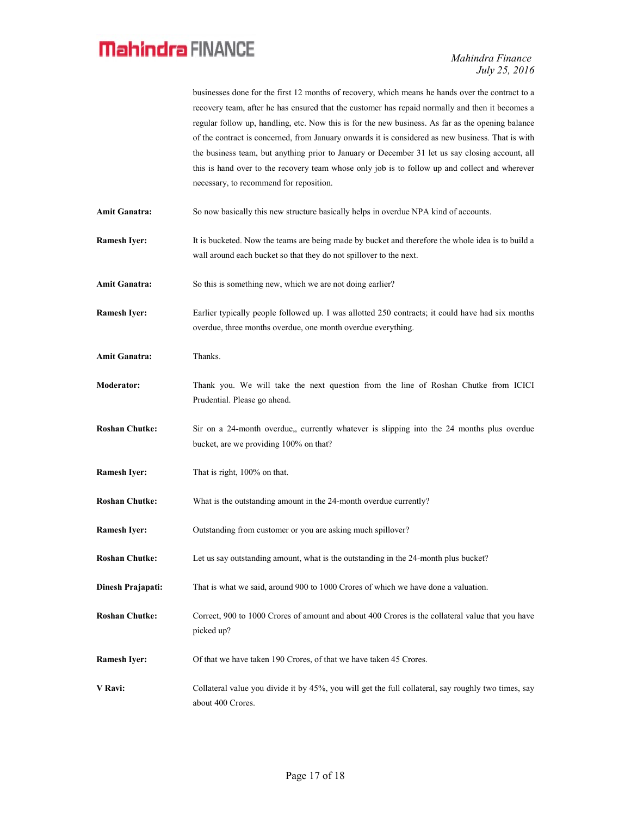|                       | businesses done for the first 12 months of recovery, which means he hands over the contract to a<br>recovery team, after he has ensured that the customer has repaid normally and then it becomes a<br>regular follow up, handling, etc. Now this is for the new business. As far as the opening balance                                          |
|-----------------------|---------------------------------------------------------------------------------------------------------------------------------------------------------------------------------------------------------------------------------------------------------------------------------------------------------------------------------------------------|
|                       | of the contract is concerned, from January onwards it is considered as new business. That is with<br>the business team, but anything prior to January or December 31 let us say closing account, all<br>this is hand over to the recovery team whose only job is to follow up and collect and wherever<br>necessary, to recommend for reposition. |
| <b>Amit Ganatra:</b>  | So now basically this new structure basically helps in overdue NPA kind of accounts.                                                                                                                                                                                                                                                              |
| <b>Ramesh Iyer:</b>   | It is bucketed. Now the teams are being made by bucket and therefore the whole idea is to build a<br>wall around each bucket so that they do not spillover to the next.                                                                                                                                                                           |
| <b>Amit Ganatra:</b>  | So this is something new, which we are not doing earlier?                                                                                                                                                                                                                                                                                         |
| <b>Ramesh Iver:</b>   | Earlier typically people followed up. I was allotted 250 contracts; it could have had six months<br>overdue, three months overdue, one month overdue everything.                                                                                                                                                                                  |
| <b>Amit Ganatra:</b>  | Thanks.                                                                                                                                                                                                                                                                                                                                           |
| <b>Moderator:</b>     | Thank you. We will take the next question from the line of Roshan Chutke from ICICI<br>Prudential. Please go ahead.                                                                                                                                                                                                                               |
| <b>Roshan Chutke:</b> | Sir on a 24-month overdue,, currently whatever is slipping into the 24 months plus overdue<br>bucket, are we providing 100% on that?                                                                                                                                                                                                              |
| <b>Ramesh Iyer:</b>   | That is right, 100% on that.                                                                                                                                                                                                                                                                                                                      |
| <b>Roshan Chutke:</b> | What is the outstanding amount in the 24-month overdue currently?                                                                                                                                                                                                                                                                                 |
| <b>Ramesh Iyer:</b>   | Outstanding from customer or you are asking much spillover?                                                                                                                                                                                                                                                                                       |
| <b>Roshan Chutke:</b> | Let us say outstanding amount, what is the outstanding in the 24-month plus bucket?                                                                                                                                                                                                                                                               |
| Dinesh Prajapati:     | That is what we said, around 900 to 1000 Crores of which we have done a valuation.                                                                                                                                                                                                                                                                |
| <b>Roshan Chutke:</b> | Correct, 900 to 1000 Crores of amount and about 400 Crores is the collateral value that you have<br>picked up?                                                                                                                                                                                                                                    |
| <b>Ramesh Iyer:</b>   | Of that we have taken 190 Crores, of that we have taken 45 Crores.                                                                                                                                                                                                                                                                                |
| V Ravi:               | Collateral value you divide it by 45%, you will get the full collateral, say roughly two times, say<br>about 400 Crores.                                                                                                                                                                                                                          |